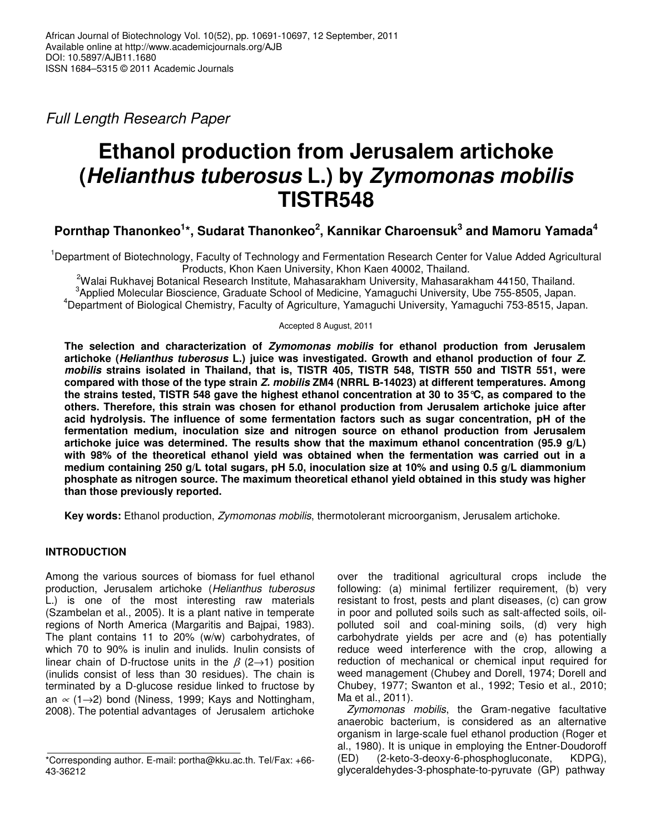*Full Length Research Paper*

# **Ethanol production from Jerusalem artichoke (***Helianthus tuberosus* **L.) by** *Zymomonas mobilis* **TISTR548**

# **Pornthap Thanonkeo 1 \*, Sudarat Thanonkeo 2 , Kannikar Charoensuk 3 and Mamoru Yamada 4**

<sup>1</sup>Department of Biotechnology, Faculty of Technology and Fermentation Research Center for Value Added Agricultural Products, Khon Kaen University, Khon Kaen 40002, Thailand.

<sup>2</sup>Walai Rukhavej Botanical Research Institute, Mahasarakham University, Mahasarakham 44150, Thailand. <sup>3</sup>Applied Molecular Bioscience, Graduate School of Medicine, Yamaguchi University, Ube 755-8505, Japan. <sup>4</sup>Department of Biological Chemistry, Faculty of Agriculture, Yamaguchi University, Yamaguchi 753-8515, Japan.

#### Accepted 8 August, 2011

**The selection and characterization of** *Zymomonas mobilis* **for ethanol production from Jerusalem artichoke (***Helianthus tuberosus* **L.) juice was investigated. Growth and ethanol production of four** *Z. mobilis* **strains isolated in Thailand, that is, TISTR 405, TISTR 548, TISTR 550 and TISTR 551, were compared with those of the type strain** *Z. mobilis* **ZM4 (NRRL B-14023) at different temperatures. Among** the strains tested, TISTR 548 gave the highest ethanol concentration at 30 to 35 °C, as compared to the **others. Therefore, this strain was chosen for ethanol production from Jerusalem artichoke juice after acid hydrolysis. The influence of some fermentation factors such as sugar concentration, pH of the fermentation medium, inoculation size and nitrogen source on ethanol production from Jerusalem artichoke juice was determined. The results show that the maximum ethanol concentration (95.9 g/L) with 98% of the theoretical ethanol yield was obtained when the fermentation was carried out in a medium containing 250 g/L total sugars, pH 5.0, inoculation size at 10% and using 0.5 g/L diammonium phosphate as nitrogen source. The maximum theoretical ethanol yield obtained in this study was higher than those previously reported.**

**Key words:** Ethanol production, *Zymomonas mobilis*, thermotolerant microorganism, Jerusalem artichoke.

# **INTRODUCTION**

Among the various sources of biomass for fuel ethanol production, Jerusalem artichoke (*Helianthus tuberosus* L.) is one of the most interesting raw materials (Szambelan et al., 2005). It is a plant native in temperate regions of North America (Margaritis and Bajpai, 1983). The plant contains 11 to 20% (w/w) carbohydrates, of which 70 to 90% is inulin and inulids. Inulin consists of linear chain of D-fructose units in the  $\beta$  (2 $\rightarrow$ 1) position (inulids consist of less than 30 residues). The chain is terminated by a D-glucose residue linked to fructose by an  $\alpha$  (1→2) bond (Niness, 1999; Kays and Nottingham, 2008). The potential advantages of Jerusalem artichoke

over the traditional agricultural crops include the following: (a) minimal fertilizer requirement, (b) very resistant to frost, pests and plant diseases, (c) can grow in poor and polluted soils such as salt-affected soils, oilpolluted soil and coal-mining soils, (d) very high carbohydrate yields per acre and (e) has potentially reduce weed interference with the crop, allowing a reduction of mechanical or chemical input required for weed management (Chubey and Dorell, 1974; Dorell and Chubey, 1977; Swanton et al., 1992; Tesio et al., 2010; Ma et al., 2011).

*Zymomonas mobilis*, the Gram-negative facultative anaerobic bacterium, is considered as an alternative organism in large-scale fuel ethanol production (Roger et al., 1980). It is unique in employing the Entner-Doudoroff<br>(ED) (2-keto-3-deoxy-6-phosphogluconate, KDPG),  $(ED)$   $(2-keto-3-deoxy-6-phosphogluconate,$ glyceraldehydes-3-phosphate-to-pyruvate (GP) pathway

<sup>\*</sup>Corresponding author. E-mail: portha@kku.ac.th. Tel/Fax: +66- 43-36212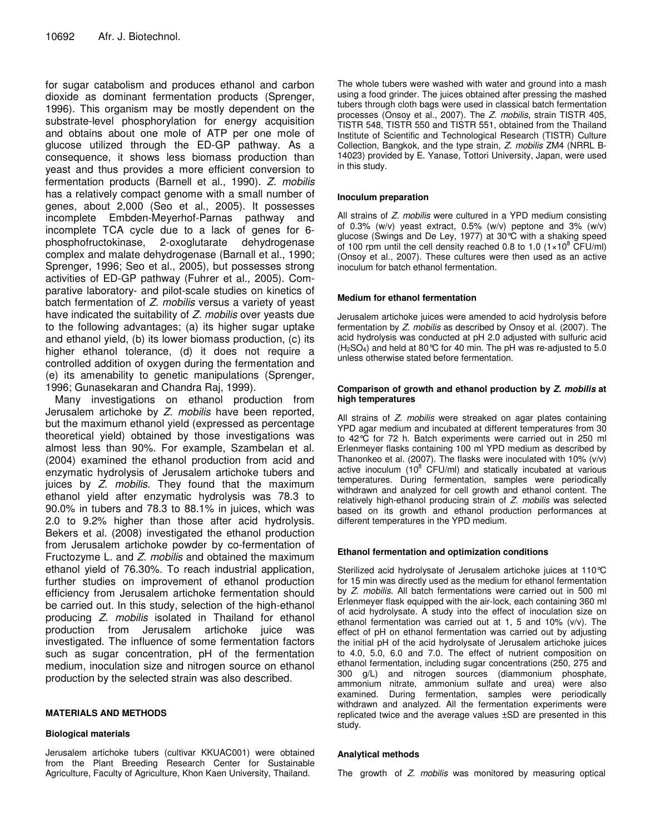for sugar catabolism and produces ethanol and carbon dioxide as dominant fermentation products (Sprenger, 1996). This organism may be mostly dependent on the substrate-level phosphorylation for energy acquisition and obtains about one mole of ATP per one mole of glucose utilized through the ED-GP pathway. As a consequence, it shows less biomass production than yeast and thus provides a more efficient conversion to fermentation products (Barnell et al., 1990). *Z. mobilis* has a relatively compact genome with a small number of genes, about 2,000 (Seo et al., 2005). It possesses incomplete Embden-Meyerhof-Parnas pathway and incomplete TCA cycle due to a lack of genes for 6- 2-oxoglutarate dehydrogenase complex and malate dehydrogenase (Barnall et al., 1990; Sprenger, 1996; Seo et al., 2005), but possesses strong activities of ED-GP pathway (Fuhrer et al., 2005). Comparative laboratory- and pilot-scale studies on kinetics of batch fermentation of *Z. mobilis* versus a variety of yeast have indicated the suitability of *Z. mobilis* over yeasts due to the following advantages; (a) its higher sugar uptake and ethanol yield, (b) its lower biomass production, (c) its higher ethanol tolerance, (d) it does not require a controlled addition of oxygen during the fermentation and (e) its amenability to genetic manipulations (Sprenger, 1996; Gunasekaran and Chandra Raj, 1999).

Many investigations on ethanol production from Jerusalem artichoke by *Z. mobilis* have been reported, but the maximum ethanol yield (expressed as percentage theoretical yield) obtained by those investigations was almost less than 90%. For example, Szambelan et al. (2004) examined the ethanol production from acid and enzymatic hydrolysis of Jerusalem artichoke tubers and juices by *Z. mobilis*. They found that the maximum ethanol yield after enzymatic hydrolysis was 78.3 to 90.0% in tubers and 78.3 to 88.1% in juices, which was 2.0 to 9.2% higher than those after acid hydrolysis. Bekers et al. (2008) investigated the ethanol production from Jerusalem artichoke powder by co-fermentation of Fructozyme L. and *Z. mobilis* and obtained the maximum ethanol yield of 76.30%. To reach industrial application, further studies on improvement of ethanol production efficiency from Jerusalem artichoke fermentation should be carried out. In this study, selection of the high-ethanol producing *Z. mobilis* isolated in Thailand for ethanol production from Jerusalem artichoke juice was investigated. The influence of some fermentation factors such as sugar concentration, pH of the fermentation medium, inoculation size and nitrogen source on ethanol production by the selected strain was also described.

#### **MATERIALS AND METHODS**

#### **Biological materials**

Jerusalem artichoke tubers (cultivar KKUAC001) were obtained from the Plant Breeding Research Center for Sustainable Agriculture, Faculty of Agriculture, Khon Kaen University, Thailand.

The whole tubers were washed with water and ground into a mash using a food grinder. The juices obtained after pressing the mashed tubers through cloth bags were used in classical batch fermentation processes (Onsoy et al., 2007). The *Z. mobilis*, strain TISTR 405, TISTR 548, TISTR 550 and TISTR 551, obtained from the Thailand Institute of Scientific and Technological Research (TISTR) Culture Collection, Bangkok, and the type strain, *Z. mobilis* ZM4 (NRRL B-14023) provided by E. Yanase, Tottori University, Japan, were used in this study.

#### **Inoculum preparation**

All strains of *Z. mobilis* were cultured in a YPD medium consisting of 0.3% (w/v) yeast extract, 0.5% (w/v) peptone and 3%  $(w/v)$ glucose (Swings and De Ley, 1977) at 30°C with a shaking speed of 100 rpm until the cell density reached 0.8 to 1.0  $(1 \times 10^8 \text{ CFU/ml})$ (Onsoy et al., 2007). These cultures were then used as an active inoculum for batch ethanol fermentation.

#### **Medium for ethanol fermentation**

Jerusalem artichoke juices were amended to acid hydrolysis before fermentation by *Z. mobilis* as described by Onsoy et al. (2007). The acid hydrolysis was conducted at pH 2.0 adjusted with sulfuric acid  $(H<sub>2</sub>SO<sub>4</sub>)$  and held at 80 °C for 40 min. The pH was re-adjusted to 5.0 unless otherwise stated before fermentation.

#### **Comparison of growth and ethanol production by** *Z. mobilis* **at high temperatures**

All strains of *Z. mobilis* were streaked on agar plates containing YPD agar medium and incubated at different temperatures from 30 to 42°C for 72 h. Batch experiments were carried out in 250 ml Erlenmeyer flasks containing 100 ml YPD medium as described by Thanonkeo et al. (2007). The flasks were inoculated with 10% (v/v) active inoculum (10<sup>8</sup> CFU/ml) and statically incubated at various temperatures. During fermentation, samples were periodically withdrawn and analyzed for cell growth and ethanol content. The relatively high-ethanol producing strain of *Z. mobilis* was selected based on its growth and ethanol production performances at different temperatures in the YPD medium.

#### **Ethanol fermentation and optimization conditions**

Sterilized acid hydrolysate of Jerusalem artichoke juices at 110°C for 15 min was directly used as the medium for ethanol fermentation by *Z. mobilis*. All batch fermentations were carried out in 500 ml Erlenmeyer flask equipped with the air-lock, each containing 360 ml of acid hydrolysate. A study into the effect of inoculation size on ethanol fermentation was carried out at 1, 5 and 10% (v/v). The effect of pH on ethanol fermentation was carried out by adjusting the initial pH of the acid hydrolysate of Jerusalem artichoke juices to 4.0, 5.0, 6.0 and 7.0. The effect of nutrient composition on ethanol fermentation, including sugar concentrations (250, 275 and 300 g/L) and nitrogen sources (diammonium phosphate, ammonium nitrate, ammonium sulfate and urea) were also examined. During fermentation, samples were withdrawn and analyzed. All the fermentation experiments were replicated twice and the average values ±SD are presented in this study.

#### **Analytical methods**

The growth of *Z. mobilis* was monitored by measuring optical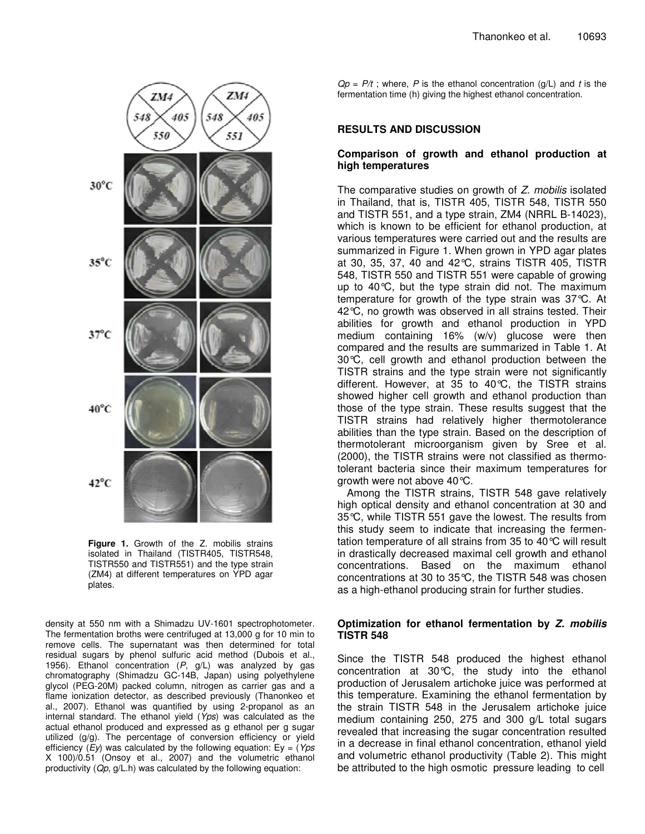$Qp = P/t$ ; where, *P* is the ethanol concentration (g/L) and *t* is the fermentation time (h) giving the highest ethanol concentration.

#### **RESULTS AND DISCUSSION**

#### **Comparison of growth and ethanol production at high temperatures**

The comparative studies on growth of *Z. mobilis* isolated in Thailand, that is, TISTR 405, TISTR 548, TISTR 550 and TISTR 551, and a type strain, ZM4 (NRRL B-14023), which is known to be efficient for ethanol production, at various temperatures were carried out and the results are summarized in Figure 1. When grown in YPD agar plates at 30, 35, 37, 40 and 42°C, strains TISTR 405, TISTR 548, TISTR 550 and TISTR 551 were capable of growing up to 40°C, but the type strain did not. The maximum temperature for growth of the type strain was 37°C. At 42°C, no growth was observed in all strains tested. Their abilities for growth and ethanol production in YPD medium containing 16% (w/v) glucose were then compared and the results are summarized in Table 1. At 30°C, cell growth and ethanol production between the TISTR strains and the type strain were not significantly different. However, at 35 to 40°C, the TISTR strains showed higher cell growth and ethanol production than those of the type strain. These results suggest that the TISTR strains had relatively higher thermotolerance abilities than the type strain. Based on the description of thermotolerant microorganism given by Sree et al. (2000), the TISTR strains were not classified as thermotolerant bacteria since their maximum temperatures for growth were not above 40°C.

Among the TISTR strains, TISTR 548 gave relatively high optical density and ethanol concentration at 30 and 35°C, while TISTR 551 gave the lowest. The results from this study seem to indicate that increasing the fermentation temperature of all strains from 35 to 40°C will result in drastically decreased maximal cell growth and ethanol concentrations. Based on the maximum ethanol concentrations at 30 to 35°C, the TISTR 548 was chosen as a high-ethanol producing strain for further studies.

#### **Optimization for ethanol fermentation by** *Z. mobilis* **TISTR 548**

Since the TISTR 548 produced the highest ethanol concentration at 30°C, the study into the ethanol production of Jerusalem artichoke juice was performed at this temperature. Examining the ethanol fermentation by the strain TISTR 548 in the Jerusalem artichoke juice medium containing 250, 275 and 300 g/L total sugars revealed that increasing the sugar concentration resulted in a decrease in final ethanol concentration, ethanol yield and volumetric ethanol productivity (Table 2). This might be attributed to the high osmotic pressure leading to cell



**Figure 1.** Growth of the Z. mobilis strains isolated in Thailand (TISTR405, TISTR548, TISTR550 and TISTR551) and the type strain (ZM4) at different temperatures on YPD agar plates.

density at 550 nm with a Shimadzu UV-1601 spectrophotometer. The fermentation broths were centrifuged at 13,000 g for 10 min to remove cells. The supernatant was then determined for total residual sugars by phenol sulfuric acid method (Dubois et al., 1956). Ethanol concentration (*P*, g/L) was analyzed by gas chromatography (Shimadzu GC-14B, Japan) using polyethylene glycol (PEG-20M) packed column, nitrogen as carrier gas and a flame ionization detector, as described previously (Thanonkeo et al., 2007). Ethanol was quantified by using 2-propanol as an internal standard. The ethanol yield (*Yps*) was calculated as the actual ethanol produced and expressed as g ethanol per g sugar utilized (g/g). The percentage of conversion efficiency or yield efficiency (*Ey*) was calculated by the following equation: Ey = (*Yps* X 100)/0.51 (Onsoy et al., 2007) and the volumetric ethanol productivity (*Qp*, g/L.h) was calculated by the following equation: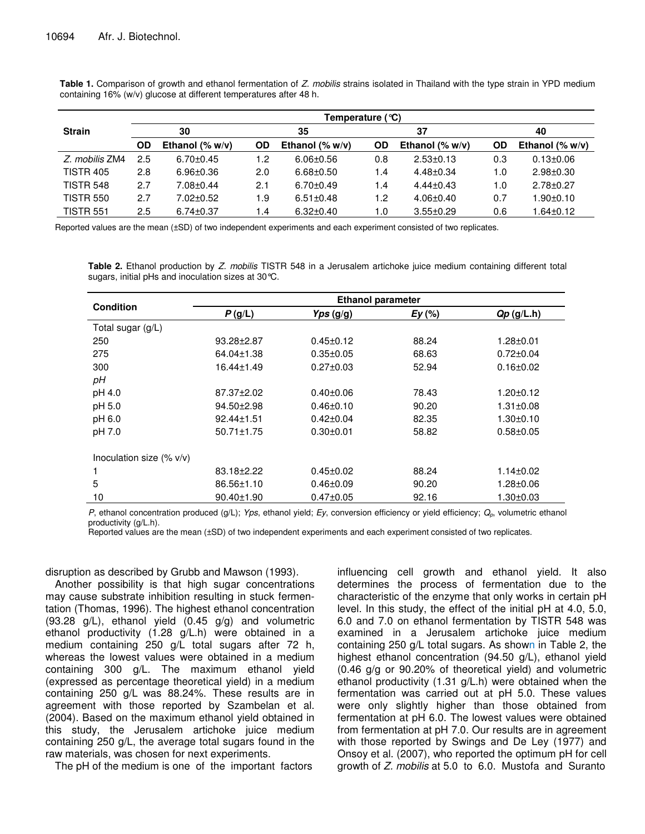**Table 1.** Comparison of growth and ethanol fermentation of *Z. mobilis* strains isolated in Thailand with the type strain in YPD medium containing 16% (w/v) glucose at different temperatures after 48 h.

|                  | Temperature $(°C)$ |                    |     |                    |     |                    |     |                    |  |
|------------------|--------------------|--------------------|-----|--------------------|-----|--------------------|-----|--------------------|--|
| <b>Strain</b>    | 30                 |                    | 35  |                    | 37  |                    | 40  |                    |  |
|                  | OD                 | Ethanol $(\% w/v)$ | OD  | Ethanol $(\% w/v)$ | OD  | Ethanol $(\% w/v)$ | OD  | Ethanol $(\% w/v)$ |  |
| Z. mobilis ZM4   | 2.5                | $6.70 \pm 0.45$    | 1.2 | $6.06 \pm 0.56$    | 0.8 | $2.53 \pm 0.13$    | 0.3 | $0.13 \pm 0.06$    |  |
| <b>TISTR 405</b> | 2.8                | $6.96 \pm 0.36$    | 2.0 | $6.68 \pm 0.50$    | 1.4 | $4.48 \pm 0.34$    | 1.0 | $2.98 + 0.30$      |  |
| <b>TISTR 548</b> | 2.7                | $7.08 \pm 0.44$    | 2.1 | $6.70 \pm 0.49$    | 1.4 | $4.44 \pm 0.43$    | 1.0 | $2.78 + 0.27$      |  |
| <b>TISTR 550</b> | 2.7                | $7.02 \pm 0.52$    | 1.9 | $6.51 \pm 0.48$    | 1.2 | $4.06 \pm 0.40$    | 0.7 | $.90 \pm 0.10$     |  |
| <b>TISTR 551</b> | 2.5                | $6.74 \pm 0.37$    | 1.4 | $6.32 \pm 0.40$    | 1.0 | $3.55 \pm 0.29$    | 0.6 | $.64 \pm 0.12$     |  |

Reported values are the mean (±SD) of two independent experiments and each experiment consisted of two replicates.

**Table 2.** Ethanol production by *Z. mobilis* TISTR 548 in a Jerusalem artichoke juice medium containing different total sugars, initial pHs and inoculation sizes at 30**°**C.

|                             | <b>Ethanol parameter</b> |                 |              |                 |  |  |  |
|-----------------------------|--------------------------|-----------------|--------------|-----------------|--|--|--|
| <b>Condition</b>            | P(g/L)                   | Yps(g/g)        | $Ey$ $(\% )$ | $Qp$ (g/L.h)    |  |  |  |
| Total sugar (g/L)           |                          |                 |              |                 |  |  |  |
| 250                         | $93.28 \pm 2.87$         | $0.45 \pm 0.12$ | 88.24        | $1.28 + 0.01$   |  |  |  |
| 275                         | 64.04±1.38               | $0.35 \pm 0.05$ | 68.63        | $0.72 \pm 0.04$ |  |  |  |
| 300                         | 16.44±1.49               | $0.27 \pm 0.03$ | 52.94        | $0.16 \pm 0.02$ |  |  |  |
| рH                          |                          |                 |              |                 |  |  |  |
| pH 4.0                      | 87.37±2.02               | $0.40 + 0.06$   | 78.43        | $1.20 \pm 0.12$ |  |  |  |
| pH 5.0                      | $94.50 \pm 2.98$         | $0.46 \pm 0.10$ | 90.20        | $1.31 \pm 0.08$ |  |  |  |
| pH 6.0                      | $92.44 \pm 1.51$         | $0.42 \pm 0.04$ | 82.35        | $1.30 \pm 0.10$ |  |  |  |
| pH 7.0                      | $50.71 \pm 1.75$         | $0.30 + 0.01$   | 58.82        | $0.58 + 0.05$   |  |  |  |
|                             |                          |                 |              |                 |  |  |  |
| Inoculation size $(\% v/v)$ |                          |                 |              |                 |  |  |  |
|                             | 83.18±2.22               | $0.45 \pm 0.02$ | 88.24        | $1.14 \pm 0.02$ |  |  |  |
| 5                           | 86.56±1.10               | $0.46 \pm 0.09$ | 90.20        | $1.28 \pm 0.06$ |  |  |  |
| 10                          | 90.40±1.90               | $0.47 \pm 0.05$ | 92.16        | $1.30 \pm 0.03$ |  |  |  |

*P*, ethanol concentration produced (g/L); *Yps*, ethanol yield; *Ey*, conversion efficiency or yield efficiency; *Qp*, volumetric ethanol productivity (g/L.h).

Reported values are the mean (±SD) of two independent experiments and each experiment consisted of two replicates.

disruption as described by Grubb and Mawson (1993).

Another possibility is that high sugar concentrations may cause substrate inhibition resulting in stuck fermentation (Thomas, 1996). The highest ethanol concentration (93.28 g/L), ethanol yield (0.45 g/g) and volumetric ethanol productivity (1.28 g/L.h) were obtained in a medium containing 250 g/L total sugars after 72 h, whereas the lowest values were obtained in a medium containing 300 g/L. The maximum ethanol yield (expressed as percentage theoretical yield) in a medium containing 250 g/L was 88.24%. These results are in agreement with those reported by Szambelan et al. (2004). Based on the maximum ethanol yield obtained in this study, the Jerusalem artichoke juice medium containing 250 g/L, the average total sugars found in the raw materials, was chosen for next experiments.

The pH of the medium is one of the important factors

influencing cell growth and ethanol yield. It also determines the process of fermentation due to the characteristic of the enzyme that only works in certain pH level. In this study, the effect of the initial pH at 4.0, 5.0, 6.0 and 7.0 on ethanol fermentation by TISTR 548 was examined in a Jerusalem artichoke juice medium containing 250 g/L total sugars. As shown in Table 2, the highest ethanol concentration (94.50 g/L), ethanol yield (0.46 g/g or 90.20% of theoretical yield) and volumetric ethanol productivity (1.31 g/L.h) were obtained when the fermentation was carried out at pH 5.0. These values were only slightly higher than those obtained from fermentation at pH 6.0. The lowest values were obtained from fermentation at pH 7.0. Our results are in agreement with those reported by Swings and De Ley (1977) and Onsoy et al. (2007), who reported the optimum pH for cell growth of *Z. mobilis* at 5.0 to 6.0. Mustofa and Suranto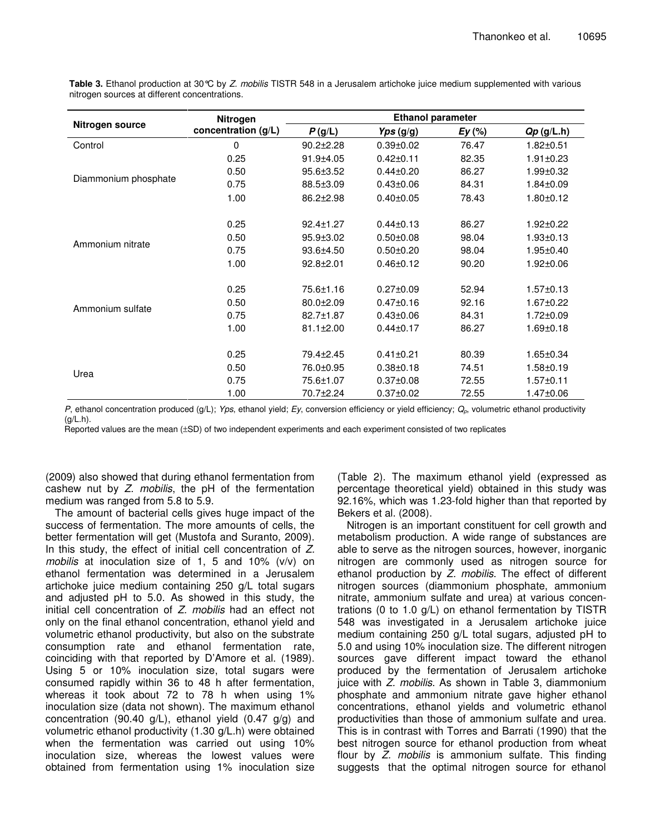|                      | Nitrogen            | <b>Ethanol parameter</b> |                 |              |                 |  |
|----------------------|---------------------|--------------------------|-----------------|--------------|-----------------|--|
| Nitrogen source      | concentration (g/L) | P(g/L)                   | Yps(g/g)        | $Ey$ $(\% )$ | $Qp$ (g/L.h)    |  |
| Control              | 0                   | $90.2 \pm 2.28$          | $0.39 \pm 0.02$ | 76.47        | $1.82 \pm 0.51$ |  |
|                      | 0.25                | $91.9 + 4.05$            | $0.42 \pm 0.11$ | 82.35        | $1.91 \pm 0.23$ |  |
|                      | 0.50                | $95.6 \pm 3.52$          | $0.44 \pm 0.20$ | 86.27        | $1.99 \pm 0.32$ |  |
| Diammonium phosphate | 0.75                | 88.5±3.09                | $0.43 \pm 0.06$ | 84.31        | $1.84 \pm 0.09$ |  |
|                      | 1.00                | 86.2±2.98                | $0.40 \pm 0.05$ | 78.43        | $1.80 \pm 0.12$ |  |
|                      |                     |                          |                 |              |                 |  |
|                      | 0.25                | 92.4±1.27                | $0.44 \pm 0.13$ | 86.27        | $1.92 \pm 0.22$ |  |
| Ammonium nitrate     | 0.50                | $95.9{\pm}3.02$          | $0.50 + 0.08$   | 98.04        | $1.93 + 0.13$   |  |
|                      | 0.75                | 93.6±4.50                | $0.50 + 0.20$   | 98.04        | $1.95 \pm 0.40$ |  |
|                      | 1.00                | $92.8 \pm 2.01$          | $0.46 \pm 0.12$ | 90.20        | $1.92 \pm 0.06$ |  |
|                      | 0.25                | 75.6±1.16                | $0.27 \pm 0.09$ | 52.94        | $1.57 \pm 0.13$ |  |
|                      | 0.50                | $80.0 \pm 2.09$          | $0.47 \pm 0.16$ | 92.16        | $1.67 \pm 0.22$ |  |
| Ammonium sulfate     | 0.75                | 82.7±1.87                | $0.43 \pm 0.06$ | 84.31        | $1.72 \pm 0.09$ |  |
|                      | 1.00                | $81.1 \pm 2.00$          | $0.44 \pm 0.17$ | 86.27        | $1.69 \pm 0.18$ |  |
|                      | 0.25                | 79.4±2.45                | $0.41 \pm 0.21$ | 80.39        | $1.65 \pm 0.34$ |  |
|                      | 0.50                | 76.0±0.95                | $0.38 + 0.18$   | 74.51        | $1.58 + 0.19$   |  |
| Urea                 | 0.75                | 75.6±1.07                | $0.37 \pm 0.08$ | 72.55        | $1.57 \pm 0.11$ |  |
|                      | 1.00                | 70.7±2.24                | $0.37 \pm 0.02$ | 72.55        | 1.47±0.06       |  |

**Table 3.** Ethanol production at 30**°**C by *Z. mobilis* TISTR 548 in a Jerusalem artichoke juice medium supplemented with various nitrogen sources at different concentrations.

*P*, ethanol concentration produced (g/L); *Yps*, ethanol yield; *Ey*, conversion efficiency or yield efficiency; *Q<sub>p</sub>*, volumetric ethanol productivity  $(q/L.h)$ .

Reported values are the mean (±SD) of two independent experiments and each experiment consisted of two replicates

(2009) also showed that during ethanol fermentation from cashew nut by *Z. mobilis*, the pH of the fermentation medium was ranged from 5.8 to 5.9.

The amount of bacterial cells gives huge impact of the success of fermentation. The more amounts of cells, the better fermentation will get (Mustofa and Suranto, 2009). In this study, the effect of initial cell concentration of *Z. mobilis* at inoculation size of 1, 5 and 10% (v/v) on ethanol fermentation was determined in a Jerusalem artichoke juice medium containing 250 g/L total sugars and adjusted pH to 5.0. As showed in this study, the initial cell concentration of *Z. mobilis* had an effect not only on the final ethanol concentration, ethanol yield and volumetric ethanol productivity, but also on the substrate consumption rate and ethanol fermentation rate, coinciding with that reported by D'Amore et al. (1989). Using 5 or 10% inoculation size, total sugars were consumed rapidly within 36 to 48 h after fermentation, whereas it took about 72 to 78 h when using 1% inoculation size (data not shown). The maximum ethanol concentration (90.40  $g/L$ ), ethanol yield (0.47  $g/g$ ) and volumetric ethanol productivity (1.30 g/L.h) were obtained when the fermentation was carried out using 10% inoculation size, whereas the lowest values were obtained from fermentation using 1% inoculation size (Table 2). The maximum ethanol yield (expressed as percentage theoretical yield) obtained in this study was 92.16%, which was 1.23-fold higher than that reported by Bekers et al. (2008).

Nitrogen is an important constituent for cell growth and metabolism production. A wide range of substances are able to serve as the nitrogen sources, however, inorganic nitrogen are commonly used as nitrogen source for ethanol production by *Z. mobilis*. The effect of different nitrogen sources (diammonium phosphate, ammonium nitrate, ammonium sulfate and urea) at various concentrations (0 to 1.0 g/L) on ethanol fermentation by TISTR 548 was investigated in a Jerusalem artichoke juice medium containing 250 g/L total sugars, adjusted pH to 5.0 and using 10% inoculation size. The different nitrogen sources gave different impact toward the ethanol produced by the fermentation of Jerusalem artichoke juice with *Z. mobilis*. As shown in Table 3, diammonium phosphate and ammonium nitrate gave higher ethanol concentrations, ethanol yields and volumetric ethanol productivities than those of ammonium sulfate and urea. This is in contrast with Torres and Barrati (1990) that the best nitrogen source for ethanol production from wheat flour by *Z. mobilis* is ammonium sulfate. This finding suggests that the optimal nitrogen source for ethanol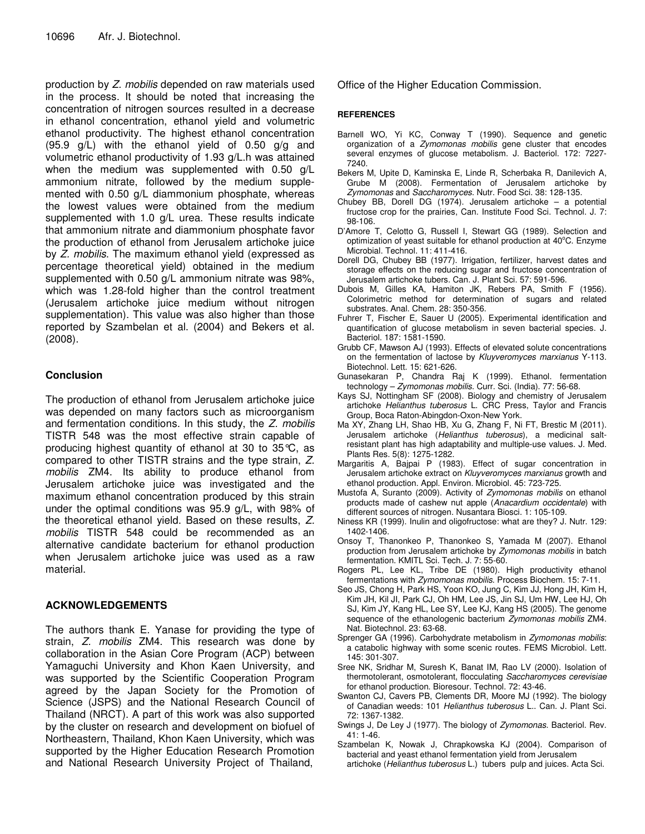production by *Z. mobilis* depended on raw materials used in the process. It should be noted that increasing the concentration of nitrogen sources resulted in a decrease in ethanol concentration, ethanol yield and volumetric ethanol productivity. The highest ethanol concentration (95.9 g/L) with the ethanol yield of 0.50 g/g and volumetric ethanol productivity of 1.93 g/L.h was attained when the medium was supplemented with 0.50 g/L ammonium nitrate, followed by the medium supplemented with 0.50 g/L diammonium phosphate, whereas the lowest values were obtained from the medium supplemented with 1.0 g/L urea. These results indicate that ammonium nitrate and diammonium phosphate favor the production of ethanol from Jerusalem artichoke juice by *Z. mobilis*. The maximum ethanol yield (expressed as percentage theoretical yield) obtained in the medium supplemented with 0.50 g/L ammonium nitrate was 98%, which was 1.28-fold higher than the control treatment (Jerusalem artichoke juice medium without nitrogen supplementation). This value was also higher than those reported by Szambelan et al. (2004) and Bekers et al. (2008).

## **Conclusion**

The production of ethanol from Jerusalem artichoke juice was depended on many factors such as microorganism and fermentation conditions. In this study, the *Z. mobilis* TISTR 548 was the most effective strain capable of producing highest quantity of ethanol at 30 to 35°C, as compared to other TISTR strains and the type strain, *Z. mobilis* ZM4. Its ability to produce ethanol from Jerusalem artichoke juice was investigated and the maximum ethanol concentration produced by this strain under the optimal conditions was 95.9 g/L, with 98% of the theoretical ethanol yield. Based on these results, *Z. mobilis* TISTR 548 could be recommended as an alternative candidate bacterium for ethanol production when Jerusalem artichoke juice was used as a raw material.

## **ACKNOWLEDGEMENTS**

The authors thank E. Yanase for providing the type of strain, *Z. mobilis* ZM4. This research was done by collaboration in the Asian Core Program (ACP) between Yamaguchi University and Khon Kaen University, and was supported by the Scientific Cooperation Program agreed by the Japan Society for the Promotion of Science (JSPS) and the National Research Council of Thailand (NRCT). A part of this work was also supported by the cluster on research and development on biofuel of Northeastern, Thailand, Khon Kaen University, which was supported by the Higher Education Research Promotion and National Research University Project of Thailand,

Office of the Higher Education Commission.

#### **REFERENCES**

- Barnell WO, Yi KC, Conway T (1990). Sequence and genetic organization of a *Zymomonas mobilis* gene cluster that encodes several enzymes of glucose metabolism. J. Bacteriol. 172: 7227- 7240.
- Bekers M, Upite D, Kaminska E, Linde R, Scherbaka R, Danilevich A, Grube M (2008). Fermentation of Jerusalem artichoke by *Zymomonas* and *Saccharomyces*. Nutr. Food Sci. 38: 128-135.
- Chubey BB, Dorell DG (1974). Jerusalem artichoke a potential fructose crop for the prairies, Can. Institute Food Sci. Technol. J. 7: 98-106.
- D'Amore T, Celotto G, Russell I, Stewart GG (1989). Selection and optimization of yeast suitable for ethanol production at 40°C. Enzyme Microbial. Technol. 11: 411-416.
- Dorell DG, Chubey BB (1977). Irrigation, fertilizer, harvest dates and storage effects on the reducing sugar and fructose concentration of Jerusalem artichoke tubers. Can. J. Plant Sci. 57: 591-596.
- Dubois M, Gilles KA, Hamiton JK, Rebers PA, Smith F (1956). Colorimetric method for determination of sugars and related substrates. Anal. Chem. 28: 350-356.
- Fuhrer T, Fischer E, Sauer U (2005). Experimental identification and quantification of glucose metabolism in seven bacterial species. J. Bacteriol. 187: 1581-1590.
- Grubb CF, Mawson AJ (1993). Effects of elevated solute concentrations on the fermentation of lactose by *Kluyveromyces marxianus* Y-113. Biotechnol. Lett. 15: 621-626.
- Gunasekaran P, Chandra Raj K (1999). Ethanol. fermentation technology – *Zymomonas mobilis*. Curr. Sci. (India). 77: 56-68.
- Kays SJ, Nottingham SF (2008). Biology and chemistry of Jerusalem artichoke *Helianthus tuberosus* L. CRC Press, Taylor and Francis Group, Boca Raton-Abingdon-Oxon-New York.
- Ma XY, Zhang LH, Shao HB, Xu G, Zhang F, Ni FT, Brestic M (2011). Jerusalem artichoke (*Helianthus tuberosus*), a medicinal saltresistant plant has high adaptability and multiple-use values. J. Med. Plants Res. 5(8): 1275-1282.
- Margaritis A, Bajpai P (1983). Effect of sugar concentration in Jerusalem artichoke extract on *Kluyveromyces marxianus* growth and ethanol production. Appl. Environ. Microbiol. 45: 723-725.
- Mustofa A, Suranto (2009). Activity of *Zymomonas mobilis* on ethanol products made of cashew nut apple (*Anacardium occidentale*) with different sources of nitrogen. Nusantara Biosci. 1: 105-109.
- Niness KR (1999). Inulin and oligofructose: what are they? J. Nutr. 129: 1402-1406.
- Onsoy T, Thanonkeo P, Thanonkeo S, Yamada M (2007). Ethanol production from Jerusalem artichoke by *Zymomonas mobilis* in batch fermentation. KMITL Sci. Tech. J. 7: 55-60.
- Rogers PL, Lee KL, Tribe DE (1980). High productivity ethanol fermentations with *Zymomonas mobilis*. Process Biochem. 15: 7-11.
- Seo JS, Chong H, Park HS, Yoon KO, Jung C, Kim JJ, Hong JH, Kim H, Kim JH, Kil JI, Park CJ, Oh HM, Lee JS, Jin SJ, Um HW, Lee HJ, Oh SJ, Kim JY, Kang HL, Lee SY, Lee KJ, Kang HS (2005). The genome sequence of the ethanologenic bacterium *Zymomonas mobilis* ZM4. Nat. Biotechnol. 23: 63-68.
- Sprenger GA (1996). Carbohydrate metabolism in *Zymomonas mobilis*: a catabolic highway with some scenic routes. FEMS Microbiol. Lett. 145: 301-307.
- Sree NK, Sridhar M, Suresh K, Banat IM, Rao LV (2000). Isolation of thermotolerant, osmotolerant, flocculating *Saccharomyces cerevisiae* for ethanol production. Bioresour. Technol. 72: 43-46.
- Swanton CJ, Cavers PB, Clements DR, Moore MJ (1992). The biology of Canadian weeds: 101 *Helianthus tuberosus* L.. Can. J. Plant Sci. 72: 1367-1382.
- Swings J, De Ley J (1977). The biology of *Zymomonas*. Bacteriol. Rev. 41: 1-46.
- Szambelan K, Nowak J, Chrapkowska KJ (2004). Comparison of bacterial and yeast ethanol fermentation yield from Jerusalem artichoke (*Helianthus tuberosus* L.) tubers pulp and juices. Acta Sci.